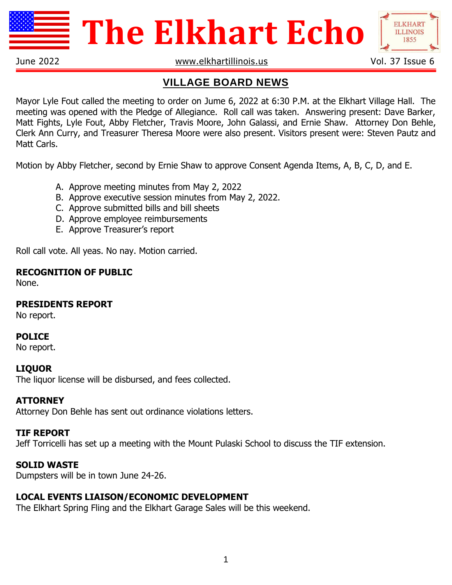

# **The Elkhart Echo**



June 2022 **WWW.elkhartillinois.us** Vol. 37 Issue 6

**ELKHART ILLINOIS** 

## **VILLAGE BOARD NEWS**

Mayor Lyle Fout called the meeting to order on Jume 6, 2022 at 6:30 P.M. at the Elkhart Village Hall. The meeting was opened with the Pledge of Allegiance. Roll call was taken. Answering present: Dave Barker, Matt Fights, Lyle Fout, Abby Fletcher, Travis Moore, John Galassi, and Ernie Shaw. Attorney Don Behle, Clerk Ann Curry, and Treasurer Theresa Moore were also present. Visitors present were: Steven Pautz and Matt Carls.

Motion by Abby Fletcher, second by Ernie Shaw to approve Consent Agenda Items, A, B, C, D, and E.

- A. Approve meeting minutes from May 2, 2022
- B. Approve executive session minutes from May 2, 2022.
- C. Approve submitted bills and bill sheets
- D. Approve employee reimbursements
- E. Approve Treasurer's report

Roll call vote. All yeas. No nay. Motion carried.

## **RECOGNITION OF PUBLIC**

None.

## **PRESIDENTS REPORT**

No report.

## **POLICE**

No report.

## **LIQUOR**

The liquor license will be disbursed, and fees collected.

#### **ATTORNEY**

Attorney Don Behle has sent out ordinance violations letters.

#### **TIF REPORT**

Jeff Torricelli has set up a meeting with the Mount Pulaski School to discuss the TIF extension.

## **SOLID WASTE**

Dumpsters will be in town June 24-26.

## **LOCAL EVENTS LIAISON/ECONOMIC DEVELOPMENT**

The Elkhart Spring Fling and the Elkhart Garage Sales will be this weekend.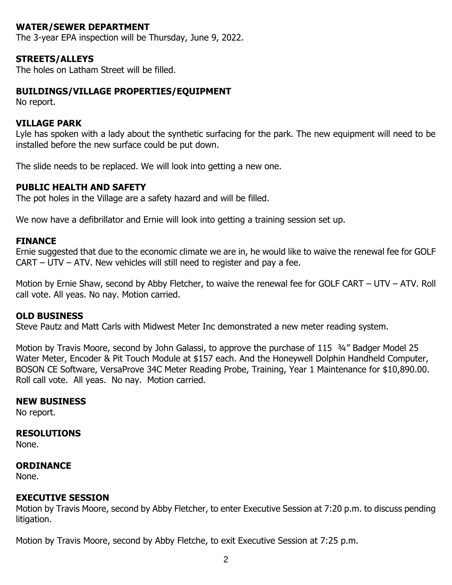#### **WATER/SEWER DEPARTMENT**

The 3-year EPA inspection will be Thursday, June 9, 2022.

#### **STREETS/ALLEYS**

The holes on Latham Street will be filled.

#### **BUILDINGS/VILLAGE PROPERTIES/EQUIPMENT**

No report.

#### **VILLAGE PARK**

Lyle has spoken with a lady about the synthetic surfacing for the park. The new equipment will need to be installed before the new surface could be put down.

The slide needs to be replaced. We will look into getting a new one.

#### **PUBLIC HEALTH AND SAFETY**

The pot holes in the Village are a safety hazard and will be filled.

We now have a defibrillator and Ernie will look into getting a training session set up.

#### **FINANCE**

Ernie suggested that due to the economic climate we are in, he would like to waive the renewal fee for GOLF CART – UTV – ATV. New vehicles will still need to register and pay a fee.

Motion by Ernie Shaw, second by Abby Fletcher, to waive the renewal fee for GOLF CART – UTV – ATV. Roll call vote. All yeas. No nay. Motion carried.

#### **OLD BUSINESS**

Steve Pautz and Matt Carls with Midwest Meter Inc demonstrated a new meter reading system.

Motion by Travis Moore, second by John Galassi, to approve the purchase of 115  $\frac{3}{4}$ " Badger Model 25 Water Meter, Encoder & Pit Touch Module at \$157 each. And the Honeywell Dolphin Handheld Computer, BOSON CE Software, VersaProve 34C Meter Reading Probe, Training, Year 1 Maintenance for \$10,890.00. Roll call vote. All yeas. No nay. Motion carried.

#### **NEW BUSINESS**

No report.

#### **RESOLUTIONS**

None.

#### **ORDINANCE**

None.

#### **EXECUTIVE SESSION**

Motion by Travis Moore, second by Abby Fletcher, to enter Executive Session at 7:20 p.m. to discuss pending litigation.

Motion by Travis Moore, second by Abby Fletche, to exit Executive Session at 7:25 p.m.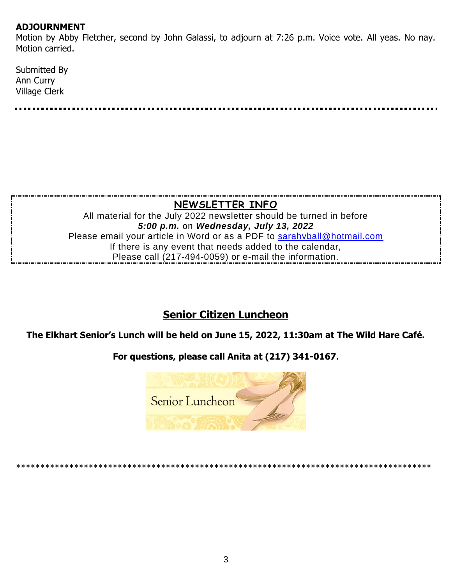#### **ADJOURNMENT**

Motion by Abby Fletcher, second by John Galassi, to adjourn at 7:26 p.m. Voice vote. All yeas. No nay. Motion carried.

| Submitted By  |  |  |  |
|---------------|--|--|--|
| Ann Curry     |  |  |  |
| Village Clerk |  |  |  |
|               |  |  |  |

## **NEWSLETTER INFO**

All material for the July 2022 newsletter should be turned in before *5:00 p.m.* on *Wednesday, July 13, 2022* Please email your article in Word or as a PDF to [sarahvball@hotmail.com](mailto:sarahvball@hotmail.com) If there is any event that needs added to the calendar, Please call (217-494-0059) or e-mail the information.

## **Senior Citizen Luncheon**

**The Elkhart Senior's Lunch will be held on June 15, 2022, 11:30am at The Wild Hare Café.**

## **For questions, please call Anita at (217) 341-0167.**



#### \*\*\*\*\*\*\*\*\*\*\*\*\*\*\*\*\*\*\*\*\*\*\*\*\*\*\*\*\*\*\*\*\*\*\*\*\*\*\*\*\*\*\*\*\*\*\*\*\*\*\*\*\*\*\*\*\*\*\*\*\*\*\*\*\*\*\*\*\*\*\*\*\*\*\*\*\*\*\*\*\*\*\*\*\*\*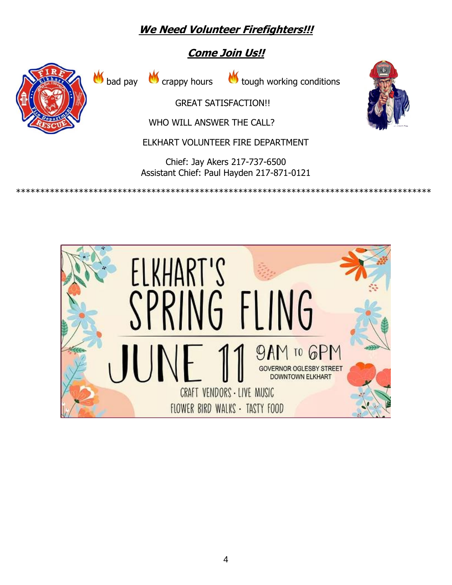## **We Need Volunteer Firefighters!!!**

## **Come Join Us!!**



 $M_{\odot}$  bad pay  $M_{\odot}$  crappy hours  $M_{\odot}$  tough working conditions

GREAT SATIS[FAC](http://2015.igem.org/Team:ATOMS-Turkiye/Project/Problems)TION!!

[WH](http://2015.igem.org/Team:ATOMS-Turkiye/Project/Problems)O WILL ANSWER [TH](http://2015.igem.org/Team:ATOMS-Turkiye/Project/Problems)E CALL?

EL[KH](http://2015.igem.org/Team:ATOMS-Turkiye/Project/Problems)ART VOLUNTEER [FI](http://2015.igem.org/Team:ATOMS-Turkiye/Project/Problems)RE DEPARTMENT

Chief: Jay Akers 217-737-6500 Assistant Chief: Paul Hayden 217-871-0121

\*\*\*\*\*\*\*\*\*\*\*\*\*\*\*\*\*\*\*\*\*\*\*\*\*\*\*\*\*\*\*\*\*\*\*\*\*\*\*\*\*\*\*\*\*\*\*\*\*\*\*\*\*\*\*\*\*\*\*\*\*\*\*\*\*\*\*\*\*\*\*\*\*\*\*\*\*\*\*\*\*\*\*\*\*\*



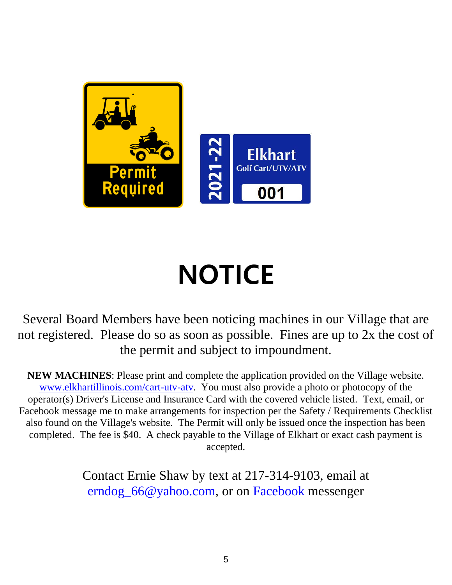

# **NOTICE**

Several Board Members have been noticing machines in our Village that are not registered. Please do so as soon as possible. Fines are up to 2x the cost of the permit and subject to impoundment.

**NEW MACHINES**: Please print and complete the application provided on the Village website. [www.elkhartillinois.com/cart-utv-atv.](http://www.elkhartillinois.com/cart-utv-atv) You must also provide a photo or photocopy of the operator(s) Driver's License and Insurance Card with the covered vehicle listed. Text, email, or Facebook message me to make arrangements for inspection per the Safety / Requirements Checklist also found on the Village's website. The Permit will only be issued once the inspection has been completed. The fee is \$40. A check payable to the Village of Elkhart or exact cash payment is accepted.

> Contact Ernie Shaw by text at 217-314-9103, email at [erndog\\_66@yahoo.com,](mailto:erndog_66@yahoo.com?subject=2021-2022%20Golf%20Cart/UTV/ATV%20Registration) or on [Facebook](https://www.facebook.com/erndog66/) messenger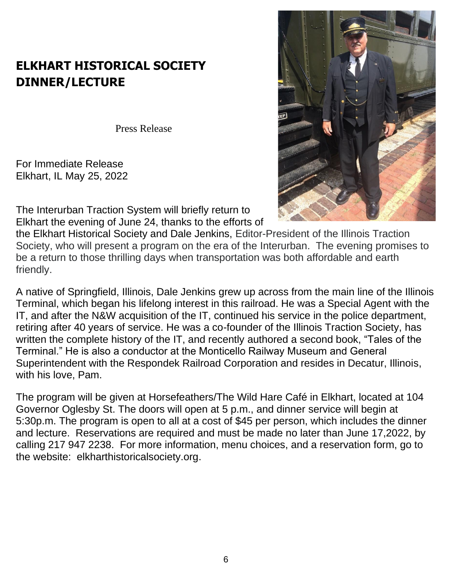## **ELKHART HISTORICAL SOCIETY DINNER/LECTURE**

Press Release

For Immediate Release Elkhart, IL May 25, 2022

The Interurban Traction System will briefly return to Elkhart the evening of June 24, thanks to the efforts of



the Elkhart Historical Society and Dale Jenkins, Editor-President of the Illinois Traction Society, who will present a program on the era of the Interurban. The evening promises to be a return to those thrilling days when transportation was both affordable and earth friendly.

A native of Springfield, Illinois, Dale Jenkins grew up across from the main line of the Illinois Terminal, which began his lifelong interest in this railroad. He was a Special Agent with the IT, and after the N&W acquisition of the IT, continued his service in the police department, retiring after 40 years of service. He was a co-founder of the Illinois Traction Society, has written the complete history of the IT, and recently authored a second book, "Tales of the Terminal." He is also a conductor at the Monticello Railway Museum and General Superintendent with the Respondek Railroad Corporation and resides in Decatur, Illinois, with his love, Pam.

The program will be given at Horsefeathers/The Wild Hare Café in Elkhart, located at 104 Governor Oglesby St. The doors will open at 5 p.m., and dinner service will begin at 5:30p.m. The program is open to all at a cost of \$45 per person, which includes the dinner and lecture. Reservations are required and must be made no later than June 17,2022, by calling 217 947 2238. For more information, menu choices, and a reservation form, go to the website: elkharthistoricalsociety.org.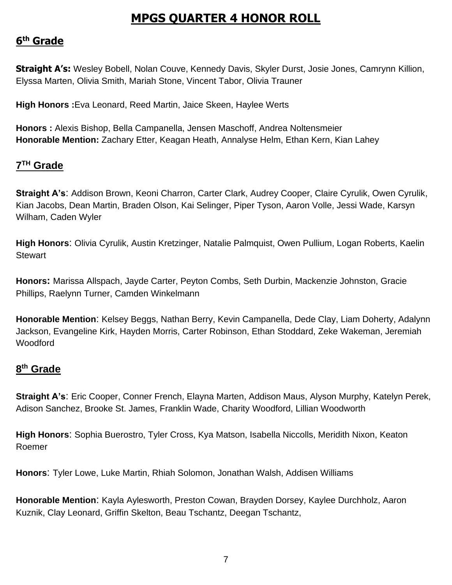## **MPGS QUARTER 4 HONOR ROLL**

## **6 th Grade**

**Straight A's:** Wesley Bobell, Nolan Couve, Kennedy Davis, Skyler Durst, Josie Jones, Camrynn Killion, Elyssa Marten, Olivia Smith, Mariah Stone, Vincent Tabor, Olivia Trauner

**High Honors :**Eva Leonard, Reed Martin, Jaice Skeen, Haylee Werts

**Honors :** Alexis Bishop, Bella Campanella, Jensen Maschoff, Andrea Noltensmeier **Honorable Mention:** Zachary Etter, Keagan Heath, Annalyse Helm, Ethan Kern, Kian Lahey

## **7 TH Grade**

**Straight A's**: Addison Brown, Keoni Charron, Carter Clark, Audrey Cooper, Claire Cyrulik, Owen Cyrulik, Kian Jacobs, Dean Martin, Braden Olson, Kai Selinger, Piper Tyson, Aaron Volle, Jessi Wade, Karsyn Wilham, Caden Wyler

**High Honors**: Olivia Cyrulik, Austin Kretzinger, Natalie Palmquist, Owen Pullium, Logan Roberts, Kaelin **Stewart** 

**Honors:** Marissa Allspach, Jayde Carter, Peyton Combs, Seth Durbin, Mackenzie Johnston, Gracie Phillips, Raelynn Turner, Camden Winkelmann

**Honorable Mention**: Kelsey Beggs, Nathan Berry, Kevin Campanella, Dede Clay, Liam Doherty, Adalynn Jackson, Evangeline Kirk, Hayden Morris, Carter Robinson, Ethan Stoddard, Zeke Wakeman, Jeremiah Woodford

## **8 th Grade**

**Straight A's**: Eric Cooper, Conner French, Elayna Marten, Addison Maus, Alyson Murphy, Katelyn Perek, Adison Sanchez, Brooke St. James, Franklin Wade, Charity Woodford, Lillian Woodworth

**High Honors**: Sophia Buerostro, Tyler Cross, Kya Matson, Isabella Niccolls, Meridith Nixon, Keaton Roemer

**Honors**: Tyler Lowe, Luke Martin, Rhiah Solomon, Jonathan Walsh, Addisen Williams

**Honorable Mention**: Kayla Aylesworth, Preston Cowan, Brayden Dorsey, Kaylee Durchholz, Aaron Kuznik, Clay Leonard, Griffin Skelton, Beau Tschantz, Deegan Tschantz,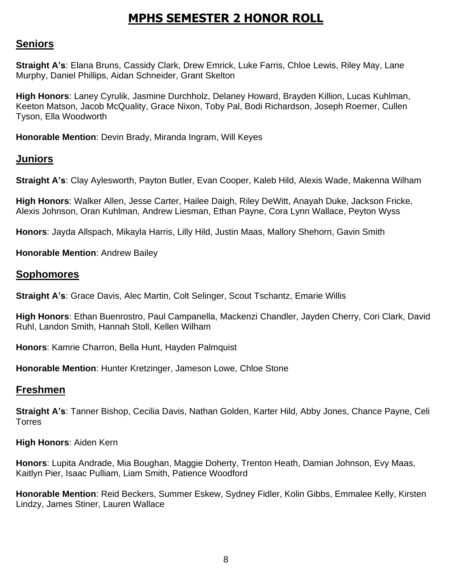## **MPHS SEMESTER 2 HONOR ROLL**

## **Seniors**

**Straight A's**: Elana Bruns, Cassidy Clark, Drew Emrick, Luke Farris, Chloe Lewis, Riley May, Lane Murphy, Daniel Phillips, Aidan Schneider, Grant Skelton

**High Honors**: Laney Cyrulik, Jasmine Durchholz, Delaney Howard, Brayden Killion, Lucas Kuhlman, Keeton Matson, Jacob McQuality, Grace Nixon, Toby Pal, Bodi Richardson, Joseph Roemer, Cullen Tyson, Ella Woodworth

**Honorable Mention**: Devin Brady, Miranda Ingram, Will Keyes

## **Juniors**

**Straight A's**: Clay Aylesworth, Payton Butler, Evan Cooper, Kaleb Hild, Alexis Wade, Makenna Wilham

**High Honors**: Walker Allen, Jesse Carter, Hailee Daigh, Riley DeWitt, Anayah Duke, Jackson Fricke, Alexis Johnson, Oran Kuhlman, Andrew Liesman, Ethan Payne, Cora Lynn Wallace, Peyton Wyss

**Honors**: Jayda Allspach, Mikayla Harris, Lilly Hild, Justin Maas, Mallory Shehorn, Gavin Smith

**Honorable Mention**: Andrew Bailey

#### **Sophomores**

**Straight A's**: Grace Davis, Alec Martin, Colt Selinger, Scout Tschantz, Emarie Willis

**High Honors**: Ethan Buenrostro, Paul Campanella, Mackenzi Chandler, Jayden Cherry, Cori Clark, David Ruhl, Landon Smith, Hannah Stoll, Kellen Wilham

**Honors**: Kamrie Charron, Bella Hunt, Hayden Palmquist

**Honorable Mention**: Hunter Kretzinger, Jameson Lowe, Chloe Stone

## **Freshmen**

**Straight A's**: Tanner Bishop, Cecilia Davis, Nathan Golden, Karter Hild, Abby Jones, Chance Payne, Celi Torres

**High Honors**: Aiden Kern

**Honors**: Lupita Andrade, Mia Boughan, Maggie Doherty, Trenton Heath, Damian Johnson, Evy Maas, Kaitlyn Pier, Isaac Pulliam, Liam Smith, Patience Woodford

**Honorable Mention**: Reid Beckers, Summer Eskew, Sydney Fidler, Kolin Gibbs, Emmalee Kelly, Kirsten Lindzy, James Stiner, Lauren Wallace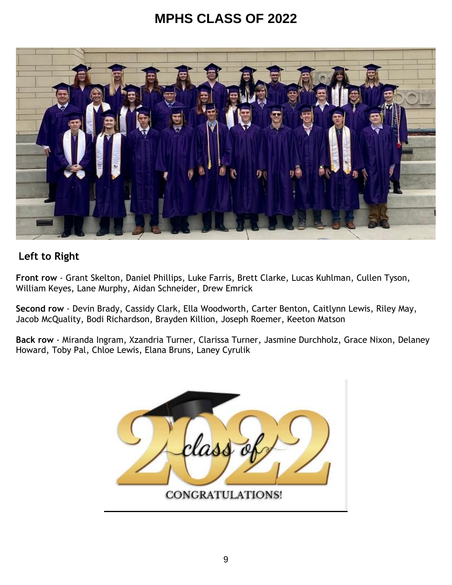## **MPHS CLASS OF 2022**



## **Left to Right**

**Front row** - Grant Skelton, Daniel Phillips, Luke Farris, Brett Clarke, Lucas Kuhlman, Cullen Tyson, William Keyes, Lane Murphy, Aidan Schneider, Drew Emrick

**Second row** - Devin Brady, Cassidy Clark, Ella Woodworth, Carter Benton, Caitlynn Lewis, Riley May, Jacob McQuality, Bodi Richardson, Brayden Killion, Joseph Roemer, Keeton Matson

**Back row** - Miranda Ingram, Xzandria Turner, Clarissa Turner, Jasmine Durchholz, Grace Nixon, Delaney Howard, Toby Pal, Chloe Lewis, Elana Bruns, Laney Cyrulik

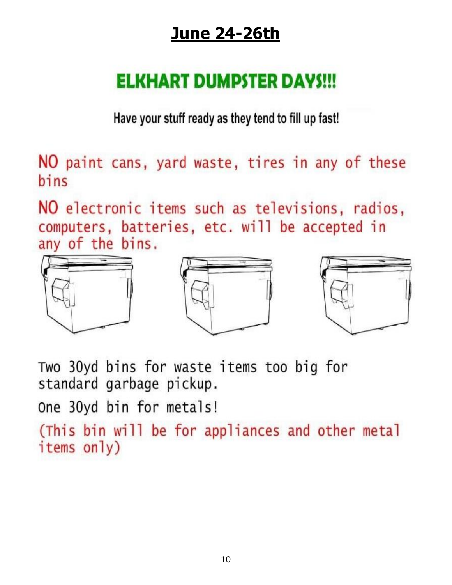## **June 24-26th**

## **ELKHART DUMPSTER DAYS!!!**

Have your stuff ready as they tend to fill up fast!

NO paint cans, yard waste, tires in any of these bins

NO electronic items such as televisions, radios, computers, batteries, etc. will be accepted in any of the bins.



Two 30yd bins for waste items too big for standard garbage pickup. One 30yd bin for metals!

(This bin will be for appliances and other metal items only)